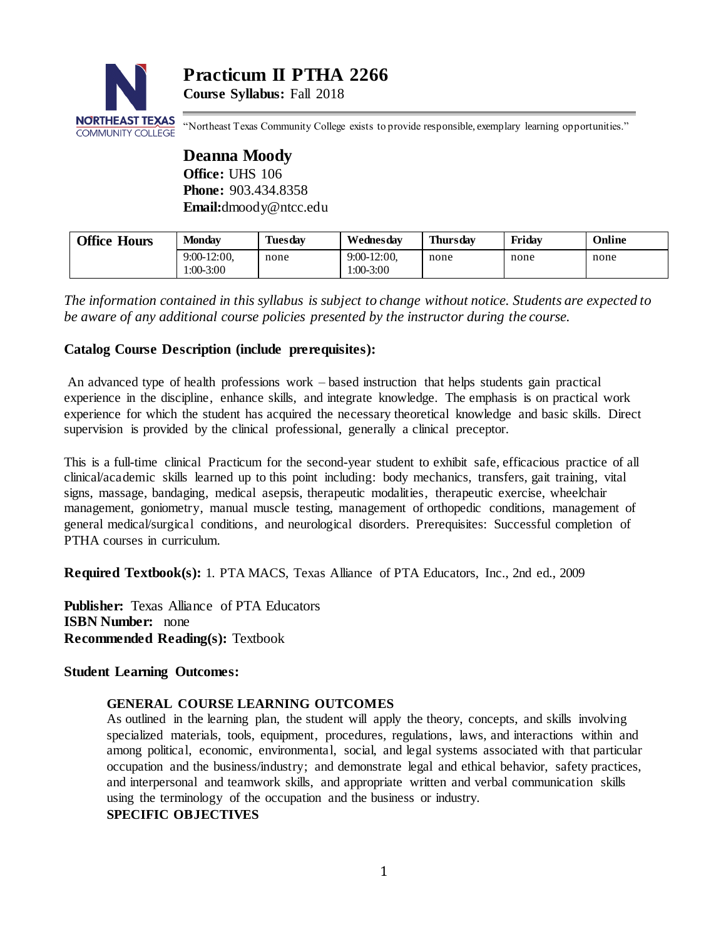

**Practicum II PTHA 2266 Course Syllabus:** Fall 2018

"Northeast Texas Community College exists to provide responsible, exemplary learning opportunities."

**Deanna Moody Office:** UHS 106 **Phone:** 903.434.8358 **Email:**dmoody@ntcc.edu

| <b>Office Hours</b> | Mondav                    | <b>Tuesday</b> | Wednesdav                 | <b>Thursday</b> | Fridav | Online |
|---------------------|---------------------------|----------------|---------------------------|-----------------|--------|--------|
|                     | $9:00-12:00$<br>1:00-3:00 | none           | $9:00-12:00$<br>1:00-3:00 | none            | none   | none   |

*The information contained in this syllabus is subject to change without notice. Students are expected to be aware of any additional course policies presented by the instructor during the course.*

# **Catalog Course Description (include prerequisites):**

An advanced type of health professions work – based instruction that helps students gain practical experience in the discipline, enhance skills, and integrate knowledge. The emphasis is on practical work experience for which the student has acquired the necessary theoretical knowledge and basic skills. Direct supervision is provided by the clinical professional, generally a clinical preceptor.

This is a full-time clinical Practicum for the second-year student to exhibit safe, efficacious practice of all clinical/academic skills learned up to this point including: body mechanics, transfers, gait training, vital signs, massage, bandaging, medical asepsis, therapeutic modalities, therapeutic exercise, wheelchair management, goniometry, manual muscle testing, management of orthopedic conditions, management of general medical/surgical conditions, and neurological disorders. Prerequisites: Successful completion of PTHA courses in curriculum.

**Required Textbook(s):** 1. PTA MACS, Texas Alliance of PTA Educators, Inc., 2nd ed., 2009

**Publisher:** Texas Alliance of PTA Educators **ISBN Number:** none **Recommended Reading(s):** Textbook

## **Student Learning Outcomes:**

## **GENERAL COURSE LEARNING OUTCOMES**

As outlined in the learning plan, the student will apply the theory, concepts, and skills involving specialized materials, tools, equipment, procedures, regulations, laws, and interactions within and among political, economic, environmental, social, and legal systems associated with that particular occupation and the business/industry; and demonstrate legal and ethical behavior, safety practices, and interpersonal and teamwork skills, and appropriate written and verbal communication skills using the terminology of the occupation and the business or industry.

## **SPECIFIC OBJECTIVES**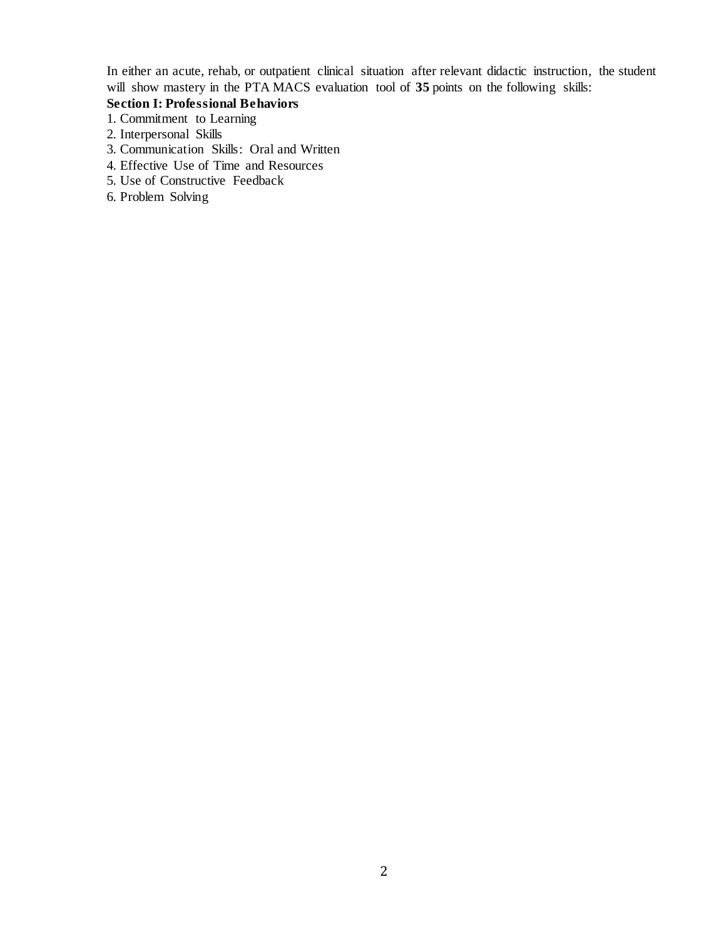In either an acute, rehab, or outpatient clinical situation after relevant didactic instruction, the student will show mastery in the PTA MACS evaluation tool of 35 points on the following skills:

## **Section I: Professional Behaviors**

- 1. Commitment to Learning
- 2. Interpersonal Skills
- 3. Communication Skills: Oral and Written
- 4. Effective Use of Time and Resources
- 5. Use of Constructive Feedback
- 6. Problem Solving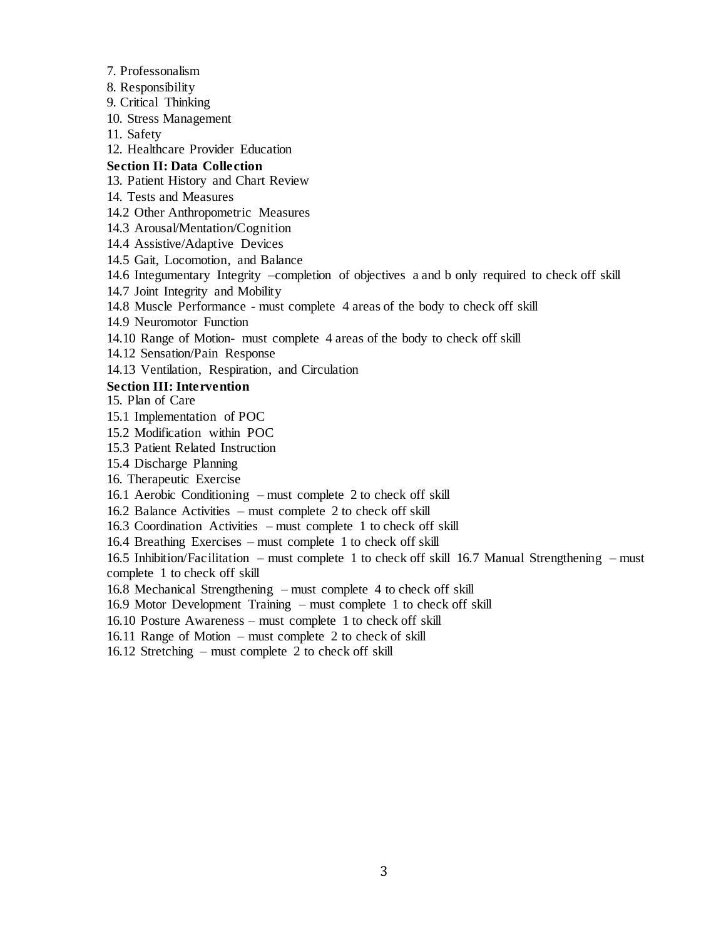7. Professonalism

8. Responsibility

9. Critical Thinking

10. Stress Management

11. Safety

12. Healthcare Provider Education

### **Section II: Data Collection**

13. Patient History and Chart Review

14. Tests and Measures

- 14.2 Other Anthropometric Measures
- 14.3 Arousal/Mentation/Cognition
- 14.4 Assistive/Adaptive Devices
- 14.5 Gait, Locomotion, and Balance

14.6 Integumentary Integrity –completion of objectives a and b only required to check off skill

14.7 Joint Integrity and Mobility

14.8 Muscle Performance - must complete 4 areas of the body to check off skill

14.9 Neuromotor Function

14.10 Range of Motion- must complete 4 areas of the body to check off skill

14.12 Sensation/Pain Response

14.13 Ventilation, Respiration, and Circulation

### **Section III: Intervention**

15. Plan of Care

- 15.1 Implementation of POC
- 15.2 Modification within POC
- 15.3 Patient Related Instruction

15.4 Discharge Planning

16. Therapeutic Exercise

16.1 Aerobic Conditioning – must complete 2 to check off skill

16.2 Balance Activities – must complete 2 to check off skill

16.3 Coordination Activities – must complete 1 to check off skill

16.4 Breathing Exercises – must complete 1 to check off skill

16.5 Inhibition/Facilitation – must complete 1 to check off skill 16.7 Manual Strengthening – must complete 1 to check off skill

16.8 Mechanical Strengthening – must complete 4 to check off skill

16.9 Motor Development Training – must complete 1 to check off skill

16.10 Posture Awareness – must complete 1 to check off skill

16.11 Range of Motion – must complete 2 to check of skill

16.12 Stretching – must complete 2 to check off skill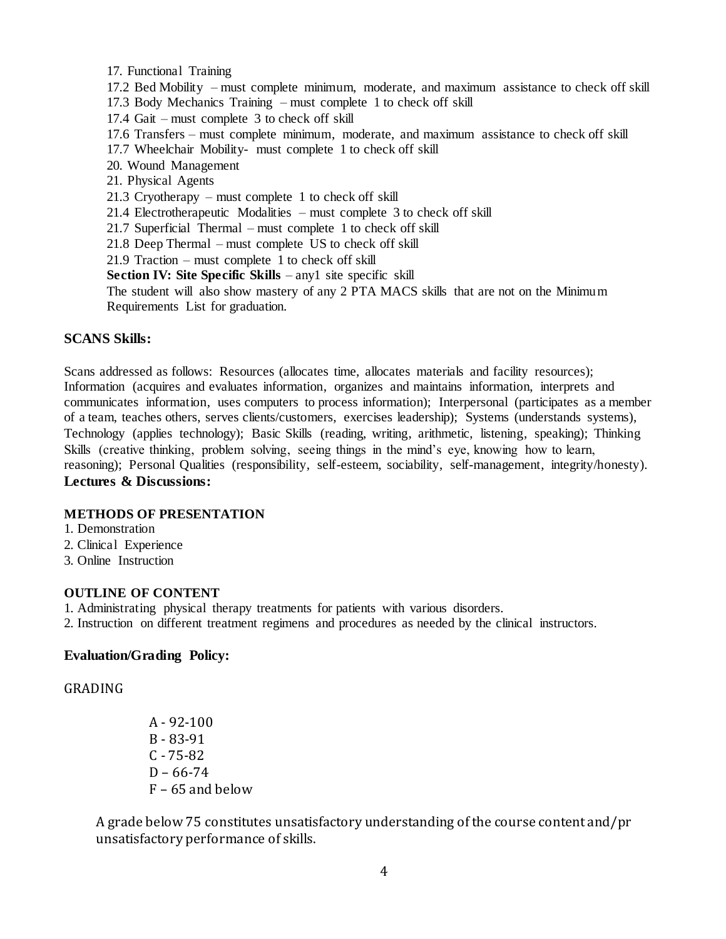- 17. Functional Training
- 17.2 Bed Mobility must complete minimum, moderate, and maximum assistance to check off skill
- 17.3 Body Mechanics Training must complete 1 to check off skill
- 17.4 Gait must complete 3 to check off skill
- 17.6 Transfers must complete minimum, moderate, and maximum assistance to check off skill
- 17.7 Wheelchair Mobility- must complete 1 to check off skill
- 20. Wound Management
- 21. Physical Agents
- 21.3 Cryotherapy must complete 1 to check off skill
- 21.4 Electrotherapeutic Modalities must complete 3 to check off skill
- 21.7 Superficial Thermal must complete 1 to check off skill
- 21.8 Deep Thermal must complete US to check off skill
- 21.9 Traction must complete 1 to check off skill
- **Section IV: Site Specific Skills**  any1 site specific skill

The student will also show mastery of any 2 PTA MACS skills that are not on the Minimum Requirements List for graduation.

### **SCANS Skills:**

Scans addressed as follows: Resources (allocates time, allocates materials and facility resources); Information (acquires and evaluates information, organizes and maintains information, interprets and communicates information, uses computers to process information); Interpersonal (participates as a member of a team, teaches others, serves clients/customers, exercises leadership); Systems (understands systems), Technology (applies technology); Basic Skills (reading, writing, arithmetic, listening, speaking); Thinking Skills (creative thinking, problem solving, seeing things in the mind's eye, knowing how to learn, reasoning); Personal Qualities (responsibility, self-esteem, sociability, self-management, integrity/honesty). **Lectures & Discussions:**

## **METHODS OF PRESENTATION**

- 1. Demonstration
- 2. Clinical Experience
- 3. Online Instruction

### **OUTLINE OF CONTENT**

- 1. Administrating physical therapy treatments for patients with various disorders.
- 2. Instruction on different treatment regimens and procedures as needed by the clinical instructors.

## **Evaluation/Grading Policy:**

### GRADING

A - 92-100 B - 83-91 C - 75-82  $D - 66 - 74$ F – 65 and below

A grade below 75 constitutes unsatisfactory understanding of the course content and/pr unsatisfactory performance of skills.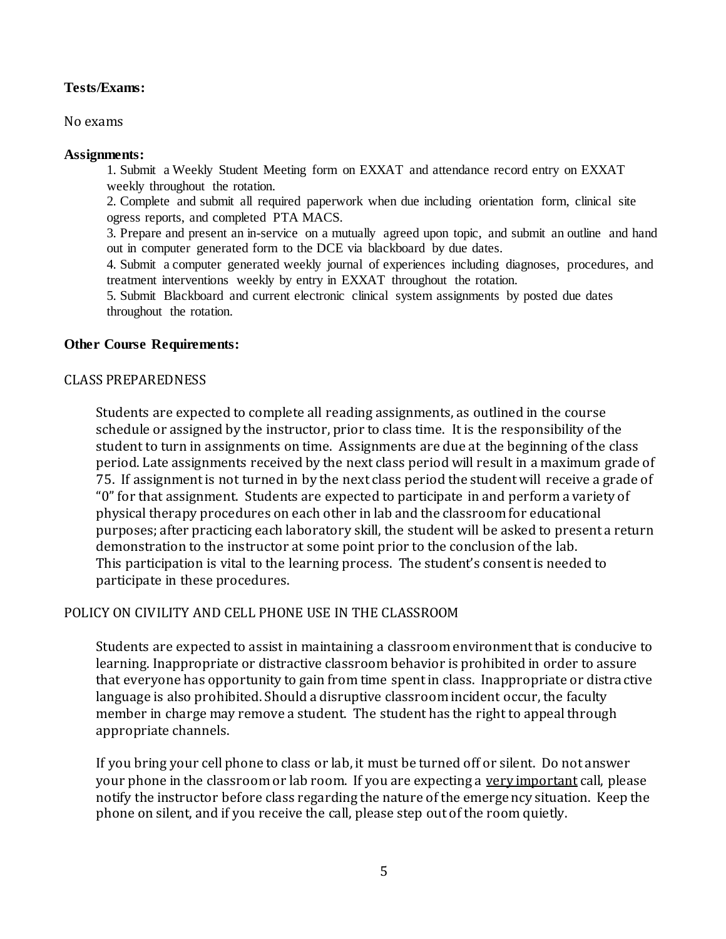# **Tests/Exams:**

No exams

# **Assignments:**

1. Submit a Weekly Student Meeting form on EXXAT and attendance record entry on EXXAT weekly throughout the rotation.

2. Complete and submit all required paperwork when due including orientation form, clinical site ogress reports, and completed PTA MACS.

3. Prepare and present an in-service on a mutually agreed upon topic, and submit an outline and hand out in computer generated form to the DCE via blackboard by due dates.

4. Submit a computer generated weekly journal of experiences including diagnoses, procedures, and treatment interventions weekly by entry in EXXAT throughout the rotation.

5. Submit Blackboard and current electronic clinical system assignments by posted due dates throughout the rotation.

# **Other Course Requirements:**

# **C** CLASS PREPAREDNESS

Students are expected to complete all reading assignments, as outlined in the course schedule or assigned by the instructor, prior to class time. It is the responsibility of the student to turn in assignments on time. Assignments are due at the beginning of the class period. Late assignments received by the next class period will result in a maximum grade of 75. If assignment is not turned in by the next class period the student will receive a grade of "0" for that assignment. Students are expected to participate in and perform a variety of physical therapy procedures on each other in lab and the classroom for educational purposes; after practicing each laboratory skill, the student will be asked to present a return demonstration to the instructor at some point prior to the conclusion of the lab. This participation is vital to the learning process. The student's consent is needed to participate in these procedures.

# POLICY ON CIVILITY AND CELL PHONE USE IN THE CLASSROOM

Students are expected to assist in maintaining a classroom environment that is conducive to learning. Inappropriate or distractive classroom behavior is prohibited in order to assure that everyone has opportunity to gain from time spent in class. Inappropriate or distra ctive language is also prohibited. Should a disruptive classroom incident occur, the faculty member in charge may remove a student. The student has the right to appeal through appropriate channels.

If you bring your cell phone to class or lab, it must be turned off or silent. Do not answer your phone in the classroom or lab room. If you are expecting a very important call, please notify the instructor before class regarding the nature of the emergency situation. Keep the phone on silent, and if you receive the call, please step out of the room quietly.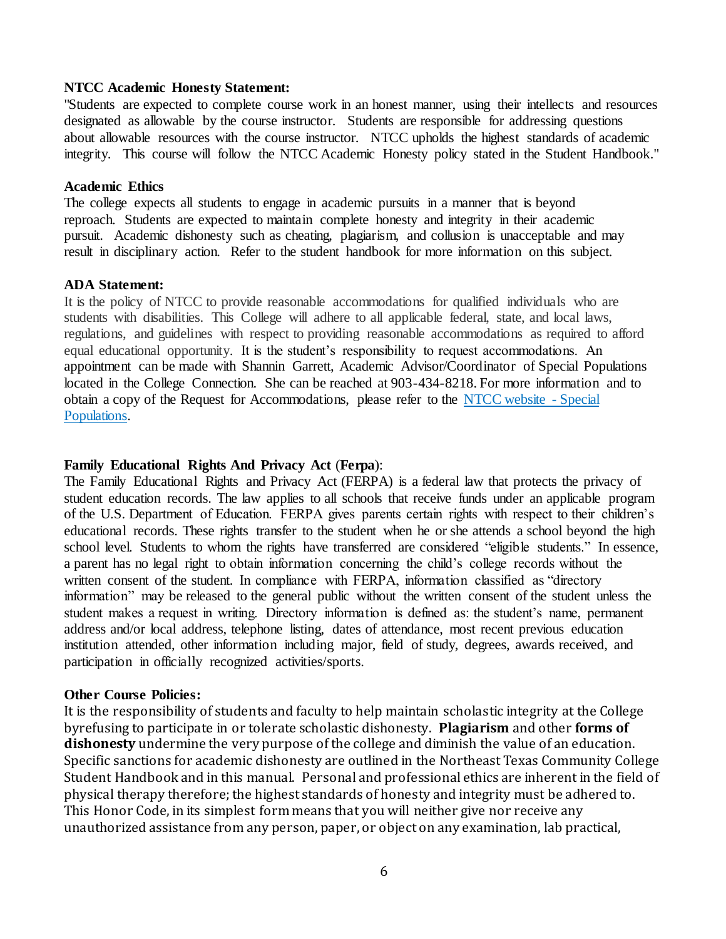## **NTCC Academic Honesty Statement:**

"Students are expected to complete course work in an honest manner, using their intellects and resources designated as allowable by the course instructor. Students are responsible for addressing questions about allowable resources with the course instructor. NTCC upholds the highest standards of academic integrity. This course will follow the NTCC Academic Honesty policy stated in the Student Handbook."

### **Academic Ethics**

The college expects all students to engage in academic pursuits in a manner that is beyond reproach. Students are expected to maintain complete honesty and integrity in their academic pursuit. Academic dishonesty such as cheating, plagiarism, and collusion is unacceptable and may result in disciplinary action. Refer to the student handbook for more information on this subject.

### **ADA Statement:**

It is the policy of NTCC to provide reasonable accommodations for qualified individuals who are students with disabilities. This College will adhere to all applicable federal, state, and local laws, regulations, and guidelines with respect to providing reasonable accommodations as required to afford equal educational opportunity. It is the student's responsibility to request accommodations. An appointment can be made with Shannin Garrett, Academic Advisor/Coordinator of Special Populations located in the College Connection. She can be reached at 903-434-8218. For more information and to obtain a copy of the Request for Accommodations, please refer to the [NTCC website -](http://www.ntcc.edu/index.php?module=Pagesetter&func=viewpub&tid=111&pid=1) Special [Populations.](http://www.ntcc.edu/index.php?module=Pagesetter&func=viewpub&tid=111&pid=1)

## **Family Educational Rights And Privacy Act** (**Ferpa**):

The Family Educational Rights and Privacy Act (FERPA) is a federal law that protects the privacy of student education records. The law applies to all schools that receive funds under an applicable program of the U.S. Department of Education. FERPA gives parents certain rights with respect to their children's educational records. These rights transfer to the student when he or she attends a school beyond the high school level. Students to whom the rights have transferred are considered "eligible students." In essence, a parent has no legal right to obtain information concerning the child's college records without the written consent of the student. In compliance with FERPA, information classified as "directory information" may be released to the general public without the written consent of the student unless the student makes a request in writing. Directory information is defined as: the student's name, permanent address and/or local address, telephone listing, dates of attendance, most recent previous education institution attended, other information including major, field of study, degrees, awards received, and participation in officially recognized activities/sports.

#### **Other Course Policies:**

It is the responsibility of students and faculty to help maintain scholastic integrity at the College byrefusing to participate in or tolerate scholastic dishonesty. **Plagiarism** and other **forms of dishonesty** undermine the very purpose of the college and diminish the value of an education. Specific sanctions for academic dishonesty are outlined in the Northeast Texas Community College Student Handbook and in this manual. Personal and professional ethics are inherent in the field of physical therapy therefore; the highest standards of honesty and integrity must be adhered to. This Honor Code, in its simplest form means that you will neither give nor receive any unauthorized assistance from any person, paper, or object on any examination, lab practical,